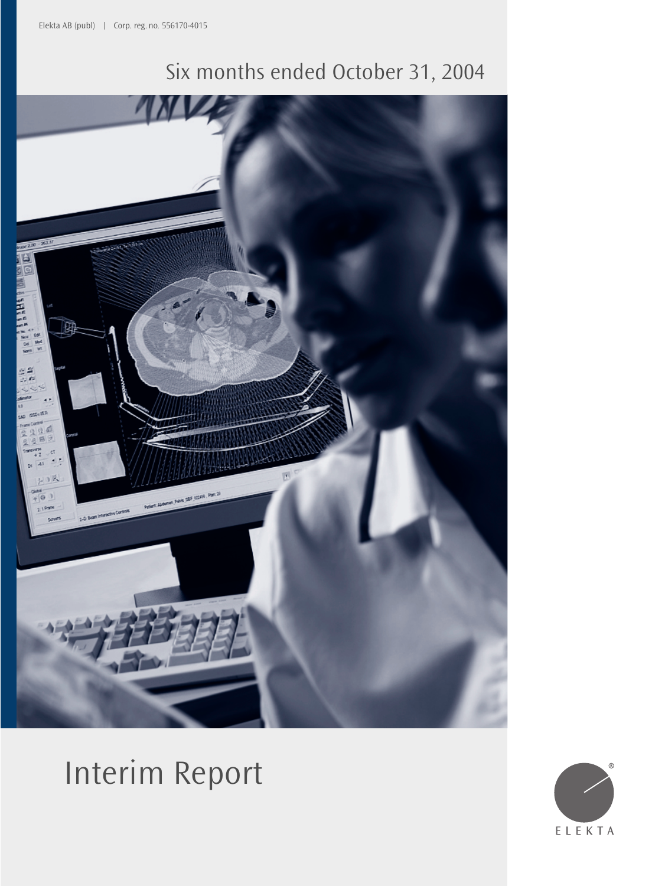## Six months ended October 31, 2004



# Interim Report

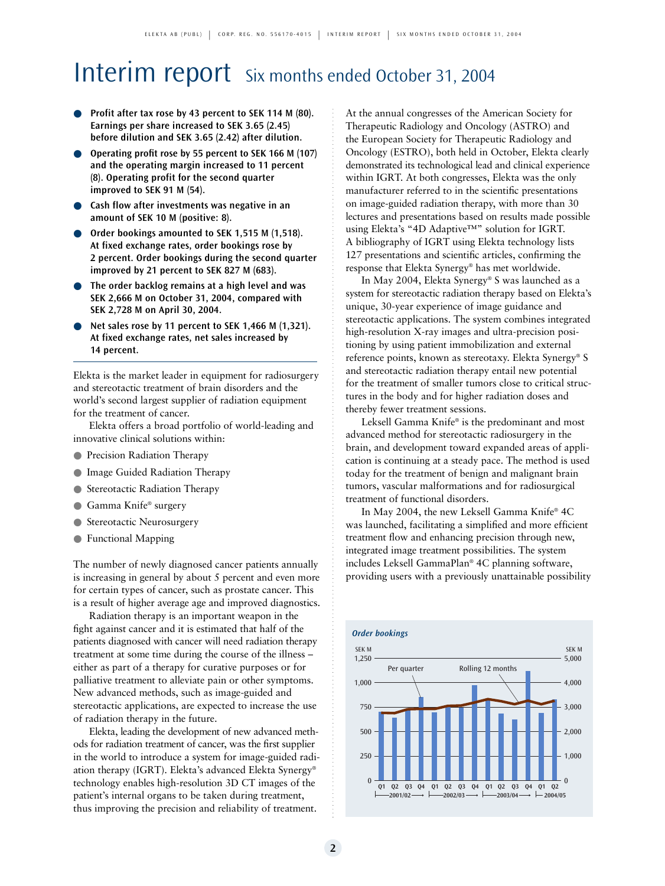## Interim report Six months ended October 31, 2004

- **Profit after tax rose by 43 percent to SEK 114 M (80). Earnings per share increased to SEK 3.65 (2.45) before dilution and SEK 3.65 (2.42) after dilution.**
- **Operating profit rose by 55 percent to SEK 166 M (107) and the operating margin increased to 11 percent (8). Operating profit for the second quarter improved to SEK 91 M (54).**
- **Cash flow after investments was negative in an amount of SEK 10 M (positive: 8).**
- Order bookings amounted to SEK 1,515 M (1,518). **At fixed exchange rates, order bookings rose by 2 percent. Order bookings during the second quarter improved by 21 percent to SEK 827 M (683).**
- **The order backlog remains at a high level and was SEK 2,666 M on October 31, 2004, compared with SEK 2,728 M on April 30, 2004.**
- **Net sales rose by 11 percent to SEK 1,466 M (1,321). At fixed exchange rates, net sales increased by 14 percent.**

Elekta is the market leader in equipment for radiosurgery and stereotactic treatment of brain disorders and the world's second largest supplier of radiation equipment for the treatment of cancer.

Elekta offers a broad portfolio of world-leading and innovative clinical solutions within:

- Precision Radiation Therapy
- Image Guided Radiation Therapy
- Stereotactic Radiation Therapy
- Gamma Knife® surgery
- Stereotactic Neurosurgery
- Functional Mapping

The number of newly diagnosed cancer patients annually is increasing in general by about 5 percent and even more for certain types of cancer, such as prostate cancer. This is a result of higher average age and improved diagnostics.

Radiation therapy is an important weapon in the fight against cancer and it is estimated that half of the patients diagnosed with cancer will need radiation therapy treatment at some time during the course of the illness – either as part of a therapy for curative purposes or for palliative treatment to alleviate pain or other symptoms. New advanced methods, such as image-guided and stereotactic applications, are expected to increase the use of radiation therapy in the future.

Elekta, leading the development of new advanced methods for radiation treatment of cancer, was the first supplier in the world to introduce a system for image-guided radiation therapy (IGRT). Elekta's advanced Elekta Synergy® technology enables high-resolution 3D CT images of the patient's internal organs to be taken during treatment, thus improving the precision and reliability of treatment.

At the annual congresses of the American Society for Therapeutic Radiology and Oncology (ASTRO) and the European Society for Therapeutic Radiology and Oncology (ESTRO), both held in October, Elekta clearly demonstrated its technological lead and clinical experience within IGRT. At both congresses, Elekta was the only manufacturer referred to in the scientific presentations on image-guided radiation therapy, with more than 30 lectures and presentations based on results made possible using Elekta's "4D Adaptive™" solution for IGRT. A bibliography of IGRT using Elekta technology lists 127 presentations and scientific articles, confirming the response that Elekta Synergy® has met worldwide.

In May 2004, Elekta Synergy® S was launched as a system for stereotactic radiation therapy based on Elekta's unique, 30-year experience of image guidance and stereotactic applications. The system combines integrated high-resolution X-ray images and ultra-precision positioning by using patient immobilization and external reference points, known as stereotaxy. Elekta Synergy® S and stereotactic radiation therapy entail new potential for the treatment of smaller tumors close to critical structures in the body and for higher radiation doses and thereby fewer treatment sessions.

Leksell Gamma Knife® is the predominant and most advanced method for stereotactic radiosurgery in the brain, and development toward expanded areas of application is continuing at a steady pace. The method is used today for the treatment of benign and malignant brain tumors, vascular malformations and for radiosurgical treatment of functional disorders.

In May 2004, the new Leksell Gamma Knife® 4C was launched, facilitating a simplified and more efficient treatment flow and enhancing precision through new, integrated image treatment possibilities. The system includes Leksell GammaPlan® 4C planning software, providing users with a previously unattainable possibility

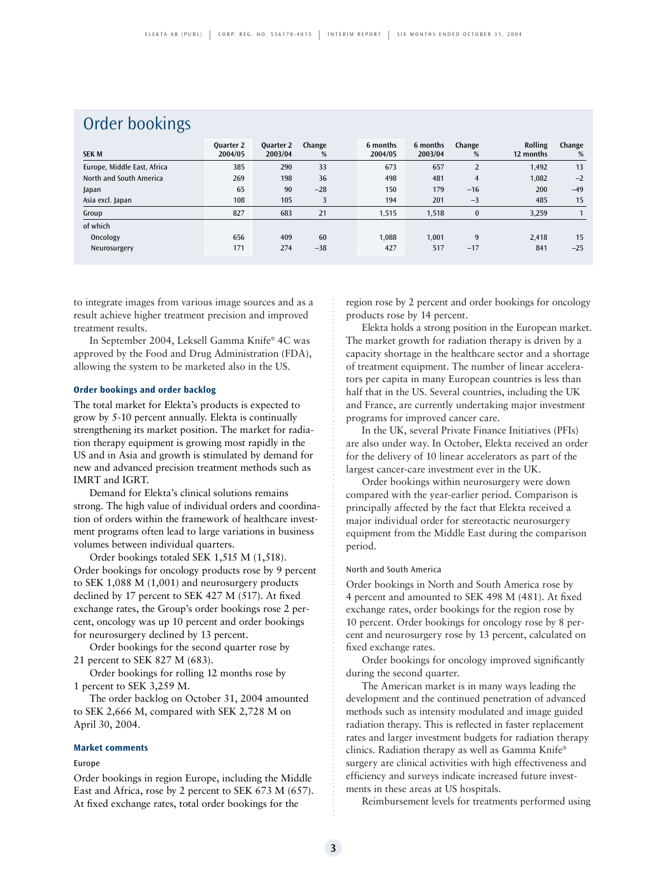### Order bookings

| <b>SEK M</b>                | <b>Ouarter 2</b><br>2004/05 | <b>Quarter 2</b><br>2003/04 | Change<br>% | 6 months<br>2004/05 | 6 months<br>2003/04 | Change<br>%    | <b>Rolling</b><br>12 months | Change<br>% |
|-----------------------------|-----------------------------|-----------------------------|-------------|---------------------|---------------------|----------------|-----------------------------|-------------|
| Europe, Middle East, Africa | 385                         | 290                         | 33          | 673                 | 657                 | $\overline{2}$ | 1,492                       | 13          |
| North and South America     | 269                         | 198                         | 36          | 498                 | 481                 | $\overline{4}$ | 1,082                       | $-2$        |
| Japan                       | 65                          | 90                          | $-28$       | 150                 | 179                 | $-16$          | 200                         | $-49$       |
| Asia excl. Japan            | 108                         | 105                         | 3           | 194                 | 201                 | $-3$           | 485                         | 15          |
| Group                       | 827                         | 683                         | 21          | 1,515               | 1,518               | $\bf{0}$       | 3,259                       |             |
| of which                    |                             |                             |             |                     |                     |                |                             |             |
| Oncology                    | 656                         | 409                         | 60          | 1,088               | 1.001               | 9              | 2,418                       | 15          |
| Neurosurgery                | 171                         | 274                         | $-38$       | 427                 | 517                 | $-17$          | 841                         | $-25$       |

to integrate images from various image sources and as a result achieve higher treatment precision and improved treatment results.

In September 2004, Leksell Gamma Knife® 4C was approved by the Food and Drug Administration (FDA), allowing the system to be marketed also in the US.

#### **Order bookings and order backlog**

The total market for Elekta's products is expected to grow by 5-10 percent annually. Elekta is continually strengthening its market position. The market for radiation therapy equipment is growing most rapidly in the US and in Asia and growth is stimulated by demand for new and advanced precision treatment methods such as IMRT and IGRT.

Demand for Elekta's clinical solutions remains strong. The high value of individual orders and coordination of orders within the framework of healthcare investment programs often lead to large variations in business volumes between individual quarters.

Order bookings totaled SEK 1,515 M (1,518). Order bookings for oncology products rose by 9 percent to SEK 1,088 M (1,001) and neurosurgery products declined by 17 percent to SEK 427 M (517). At fixed exchange rates, the Group's order bookings rose 2 percent, oncology was up 10 percent and order bookings for neurosurgery declined by 13 percent.

Order bookings for the second quarter rose by 21 percent to SEK 827 M (683).

Order bookings for rolling 12 months rose by 1 percent to SEK 3,259 M.

The order backlog on October 31, 2004 amounted to SEK 2,666 M, compared with SEK 2,728 M on April 30, 2004.

#### **Market comments**

#### Europe

Order bookings in region Europe, including the Middle East and Africa, rose by 2 percent to SEK 673 M (657). At fixed exchange rates, total order bookings for the

region rose by 2 percent and order bookings for oncology products rose by 14 percent.

Elekta holds a strong position in the European market. The market growth for radiation therapy is driven by a capacity shortage in the healthcare sector and a shortage of treatment equipment. The number of linear accelerators per capita in many European countries is less than half that in the US. Several countries, including the UK and France, are currently undertaking major investment programs for improved cancer care.

In the UK, several Private Finance Initiatives (PFIs) are also under way. In October, Elekta received an order for the delivery of 10 linear accelerators as part of the largest cancer-care investment ever in the UK.

Order bookings within neurosurgery were down compared with the year-earlier period. Comparison is principally affected by the fact that Elekta received a major individual order for stereotactic neurosurgery equipment from the Middle East during the comparison period.

#### North and South America

Order bookings in North and South America rose by 4 percent and amounted to SEK 498 M (481). At fixed exchange rates, order bookings for the region rose by 10 percent. Order bookings for oncology rose by 8 percent and neurosurgery rose by 13 percent, calculated on fixed exchange rates.

Order bookings for oncology improved significantly during the second quarter.

The American market is in many ways leading the development and the continued penetration of advanced methods such as intensity modulated and image guided radiation therapy. This is reflected in faster replacement rates and larger investment budgets for radiation therapy clinics. Radiation therapy as well as Gamma Knife® surgery are clinical activities with high effectiveness and efficiency and surveys indicate increased future investments in these areas at US hospitals.

Reimbursement levels for treatments performed using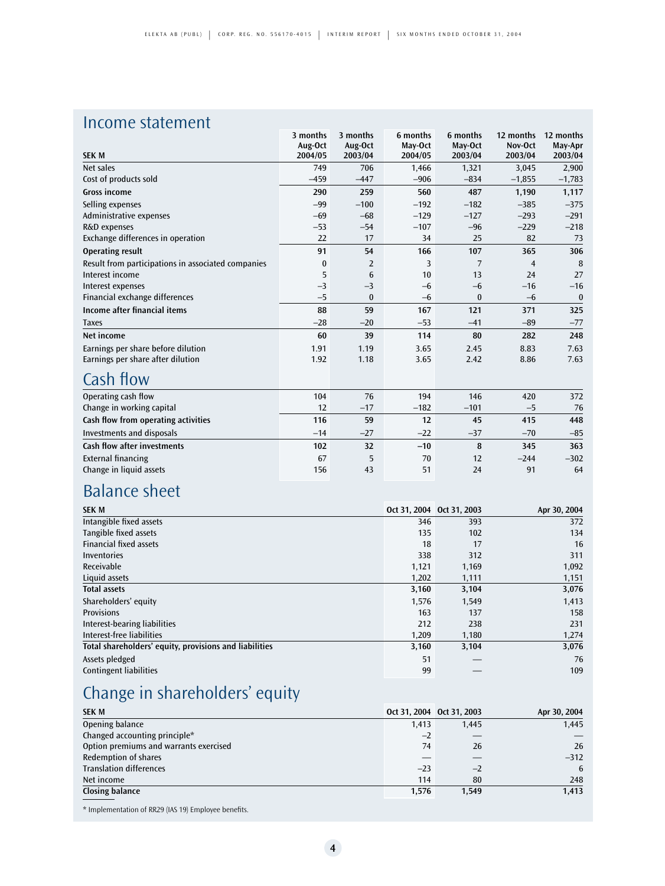## Income statement

|                                                    | 3 months | 3 months       | 6 months         | 6 months | 12 months      | 12 months |
|----------------------------------------------------|----------|----------------|------------------|----------|----------------|-----------|
|                                                    | Aug-Oct  | Aug-Oct        | May-Oct          | May-Oct  | Nov-Oct        | May-Apr   |
| <b>SEK M</b>                                       | 2004/05  | 2003/04        | 2004/05          | 2003/04  | 2003/04        | 2003/04   |
| Net sales                                          | 749      | 706            | 1,466            | 1,321    | 3,045          | 2,900     |
| Cost of products sold                              | $-459$   | $-447$         | $-906$           | $-834$   | $-1,855$       | $-1,783$  |
| <b>Gross income</b>                                | 290      | 259            | 560              | 487      | 1,190          | 1,117     |
| Selling expenses                                   | $-99$    | $-100$         | $-192$           | $-182$   | $-385$         | $-375$    |
| Administrative expenses                            | $-69$    | $-68$          | $-129$           | $-127$   | $-293$         | $-291$    |
| R&D expenses                                       | $-53$    | $-54$          | $-107$           | $-96$    | $-229$         | $-218$    |
| Exchange differences in operation                  | 22       | 17             | 34               | 25       | 82             | 73        |
| <b>Operating result</b>                            | 91       | 54             | 166              | 107      | 365            | 306       |
| Result from participations in associated companies | 0        | $\overline{2}$ | 3                | 7        | $\overline{4}$ | 8         |
| Interest income                                    | 5        | 6              | 10 <sup>10</sup> | 13       | 24             | 27        |
| Interest expenses                                  | $-3$     | $-3$           | $-6$             | $-6$     | $-16$          | $-16$     |
| Financial exchange differences                     | $-5$     | $\bf{0}$       | $-6$             | $\bf{0}$ | $-6$           | $\bf{0}$  |
| <b>Income after financial items</b>                | 88       | 59             | 167              | 121      | 371            | 325       |
| <b>Taxes</b>                                       | $-28$    | $-20$          | $-53$            | $-41$    | $-89$          | $-77$     |
| Net income                                         | 60       | 39             | 114              | 80       | 282            | 248       |
| Earnings per share before dilution                 | 1.91     | 1.19           | 3.65             | 2.45     | 8.83           | 7.63      |
| Earnings per share after dilution                  | 1.92     | 1.18           | 3.65             | 2.42     | 8.86           | 7.63      |
| Cash flow                                          |          |                |                  |          |                |           |
| Operating cash flow                                | 104      | 76             | 194              | 146      | 420            | 372       |
| Change in working capital                          | 12       | $-17$          | $-182$           | $-101$   | $-5$           | 76        |
| Cash flow from operating activities                | 116      | 59             | 12               | 45       | 415            | 448       |
| <b>Investments and disposals</b>                   | $-14$    | $-27$          | $-22$            | $-37$    | $-70$          | $-85$     |
| <b>Cash flow after investments</b>                 | 102      | 32             | $-10$            | 8        | 345            | 363       |
| <b>External financing</b>                          | 67       | 5              | 70               | 12       | $-244$         | $-302$    |
| Change in liquid assets                            | 156      | 43             | 51               | 24       | 91             | 64        |

## Balance sheet

| <b>SEK M</b>                                           | Oct 31, 2004 Oct 31, 2003 |       | Apr 30, 2004 |
|--------------------------------------------------------|---------------------------|-------|--------------|
| Intangible fixed assets                                | 346                       | 393   | 372          |
| Tangible fixed assets                                  | 135                       | 102   | 134          |
| <b>Financial fixed assets</b>                          | 18                        | 17    | 16           |
| Inventories                                            | 338                       | 312   | 311          |
| Receivable                                             | 1,121                     | 1,169 | 1,092        |
| Liquid assets                                          | 1,202                     | 1,111 | 1,151        |
| <b>Total assets</b>                                    | 3,160                     | 3,104 | 3,076        |
| Shareholders' equity                                   | 1,576                     | 1,549 | 1,413        |
| <b>Provisions</b>                                      | 163                       | 137   | 158          |
| Interest-bearing liabilities                           | 212                       | 238   | 231          |
| Interest-free liabilities                              | 1,209                     | 1,180 | 1,274        |
| Total shareholders' equity, provisions and liabilities | 3,160                     | 3,104 | 3,076        |
| Assets pledged                                         | 51                        |       | 76           |
| <b>Contingent liabilities</b>                          | 99                        |       | 109          |

## Change in shareholders' equity

| <b>SEK M</b>                           |       | Oct 31, 2004 Oct 31, 2003 | Apr 30, 2004 |
|----------------------------------------|-------|---------------------------|--------------|
| Opening balance                        | 1,413 | 1.445                     | 1,445        |
| Changed accounting principle*          | $-2$  |                           |              |
| Option premiums and warrants exercised | 74    | 26                        | 26           |
| <b>Redemption of shares</b>            |       |                           | $-312$       |
| <b>Translation differences</b>         | $-23$ | $-2$                      | 6            |
| Net income                             | 114   | 80                        | 248          |
| Closing balance                        | 1,576 | 1.549                     | 1,413        |

\* Implementation of RR29 (IAS 19) Employee benefits.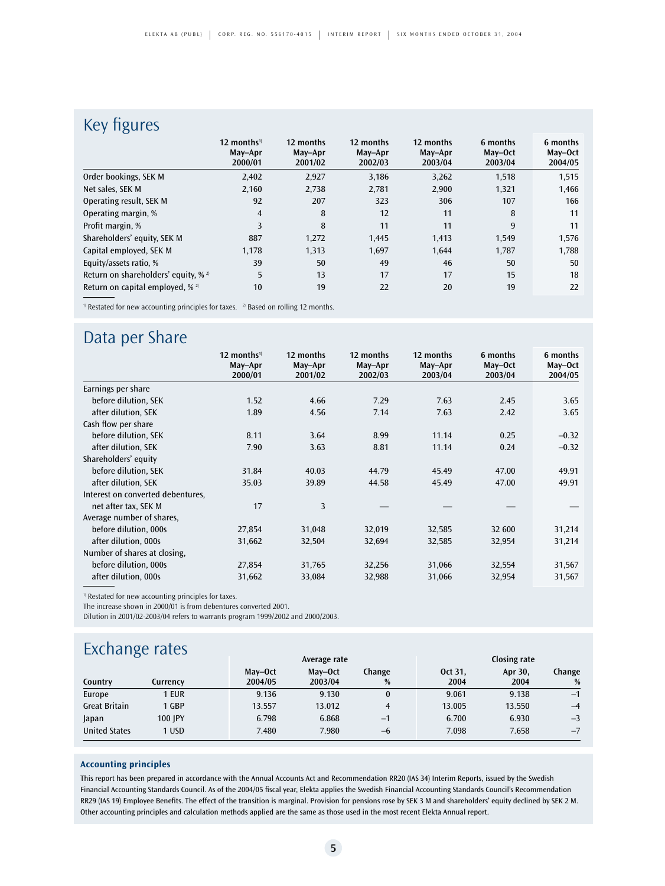## Key figures

| ັ                                         | 12 months <sup>1)</sup><br>May-Apr<br>2000/01 | 12 months<br>May-Apr<br>2001/02 | 12 months<br>May-Apr<br>2002/03 | 12 months<br>May-Apr<br>2003/04 | 6 months<br>May-Oct<br>2003/04 | 6 months<br>May-Oct<br>2004/05 |
|-------------------------------------------|-----------------------------------------------|---------------------------------|---------------------------------|---------------------------------|--------------------------------|--------------------------------|
| Order bookings, SEK M                     | 2,402                                         | 2,927                           | 3,186                           | 3,262                           | 1,518                          | 1,515                          |
| Net sales, SEK M                          | 2,160                                         | 2,738                           | 2,781                           | 2,900                           | 1,321                          | 1,466                          |
| Operating result, SEK M                   | 92                                            | 207                             | 323                             | 306                             | 107                            | 166                            |
| Operating margin, %                       | $\overline{4}$                                | 8                               | 12                              | 11                              | 8                              | 11                             |
| Profit margin, %                          | 3                                             | 8                               | 11                              | 11                              | 9                              | 11                             |
| Shareholders' equity, SEK M               | 887                                           | 1,272                           | 1,445                           | 1,413                           | 1,549                          | 1,576                          |
| Capital employed, SEK M                   | 1,178                                         | 1,313                           | 1,697                           | 1,644                           | 1,787                          | 1,788                          |
| Equity/assets ratio, %                    | 39                                            | 50                              | 49                              | 46                              | 50                             | 50                             |
| Return on shareholders' equity, % $^{2}$  | 5                                             | 13                              | 17                              | 17                              | 15                             | 18                             |
| Return on capital employed, $\frac{1}{2}$ | 10                                            | 19                              | 22                              | 20                              | 19                             | 22                             |

<sup>1)</sup> Restated for new accounting principles for taxes. <sup>2</sup> Based on rolling 12 months.

## Data per Share

|                                   | 12 months <sup>1)</sup> | 12 months          | 12 months          | 12 months          | 6 months           | 6 months<br>May-Oct |
|-----------------------------------|-------------------------|--------------------|--------------------|--------------------|--------------------|---------------------|
|                                   | May-Apr<br>2000/01      | May-Apr<br>2001/02 | May-Apr<br>2002/03 | May-Apr<br>2003/04 | May-Oct<br>2003/04 | 2004/05             |
| Earnings per share                |                         |                    |                    |                    |                    |                     |
| before dilution, SEK              | 1.52                    | 4.66               | 7.29               | 7.63               | 2.45               | 3.65                |
| after dilution, SEK               | 1.89                    | 4.56               | 7.14               | 7.63               | 2.42               | 3.65                |
| Cash flow per share               |                         |                    |                    |                    |                    |                     |
| before dilution, SEK              | 8.11                    | 3.64               | 8.99               | 11.14              | 0.25               | $-0.32$             |
| after dilution, SEK               | 7.90                    | 3.63               | 8.81               | 11.14              | 0.24               | $-0.32$             |
| Shareholders' equity              |                         |                    |                    |                    |                    |                     |
| before dilution, SEK              | 31.84                   | 40.03              | 44.79              | 45.49              | 47.00              | 49.91               |
| after dilution, SEK               | 35.03                   | 39.89              | 44.58              | 45.49              | 47.00              | 49.91               |
| Interest on converted debentures, |                         |                    |                    |                    |                    |                     |
| net after tax, SEK M              | 17                      | 3                  |                    |                    |                    |                     |
| Average number of shares,         |                         |                    |                    |                    |                    |                     |
| before dilution, 000s             | 27,854                  | 31,048             | 32,019             | 32,585             | 32 600             | 31,214              |
| after dilution, 000s              | 31,662                  | 32,504             | 32,694             | 32,585             | 32,954             | 31,214              |
| Number of shares at closing,      |                         |                    |                    |                    |                    |                     |
| before dilution, 000s             | 27,854                  | 31,765             | 32,256             | 31,066             | 32,554             | 31,567              |
| after dilution, 000s              | 31,662                  | 33,084             | 32,988             | 31,066             | 32,954             | 31,567              |
|                                   |                         |                    |                    |                    |                    |                     |

<sup>1)</sup> Restated for new accounting principles for taxes.

The increase shown in 2000/01 is from debentures converted 2001.

Dilution in 2001/02-2003/04 refers to warrants program 1999/2002 and 2000/2003.

## **Exchange rates**

| - - - - - - - - <sub>( )</sub> - - - - - - - |          |                    | Average rate       |             |                 | Closing rate    |             |  |  |
|----------------------------------------------|----------|--------------------|--------------------|-------------|-----------------|-----------------|-------------|--|--|
| Country                                      | Currencv | May-Oct<br>2004/05 | May-Oct<br>2003/04 | Change<br>% | Oct 31.<br>2004 | Apr 30,<br>2004 | Change<br>% |  |  |
| Europe                                       | 1 EUR    | 9.136              | 9.130              | $\bf{0}$    | 9.061           | 9.138           | $-1$        |  |  |
| <b>Great Britain</b>                         | 1 GBP    | 13.557             | 13.012             |             | 13.005          | 13.550          | $-4$        |  |  |
| Japan                                        | 100 IPY  | 6.798              | 6.868              | $-1$        | 6.700           | 6.930           | $-3$        |  |  |
| <b>United States</b>                         | 1 USD    | 7.480              | 7.980              | $-6$        | 7.098           | 7.658           | $-7$        |  |  |

#### **Accounting principles**

This report has been prepared in accordance with the Annual Accounts Act and Recommendation RR20 (IAS 34) Interim Reports, issued by the Swedish Financial Accounting Standards Council. As of the 2004/05 fiscal year, Elekta applies the Swedish Financial Accounting Standards Council's Recommendation RR29 (IAS 19) Employee Benefits. The effect of the transition is marginal. Provision for pensions rose by SEK 3 M and shareholders' equity declined by SEK 2 M. Other accounting principles and calculation methods applied are the same as those used in the most recent Elekta Annual report.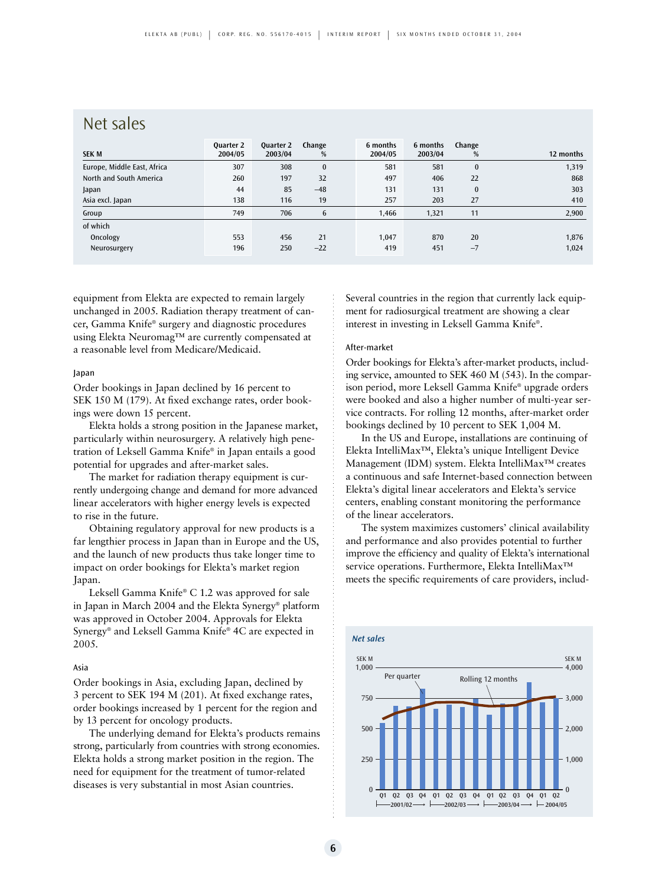### Net sales

| Quarter 2 | Quarter 2 | Change       | 6 months | 6 months | Change   | 12 months |
|-----------|-----------|--------------|----------|----------|----------|-----------|
|           |           |              |          |          |          |           |
| 307       | 308       | $\mathbf{0}$ | 581      | 581      | $\bf{0}$ | 1,319     |
| 260       | 197       | 32           | 497      | 406      | 22       | 868       |
| 44        | 85        | $-48$        | 131      | 131      | $\bf{0}$ | 303       |
| 138       | 116       | 19           | 257      | 203      | 27       | 410       |
| 749       | 706       | 6            | 1.466    | 1,321    | 11       | 2,900     |
|           |           |              |          |          |          |           |
| 553       | 456       | 21           | 1,047    | 870      | 20       | 1,876     |
| 196       | 250       | $-22$        | 419      | 451      | $-7$     | 1,024     |
|           | 2004/05   | 2003/04      | %        | 2004/05  | 2003/04  | %         |

equipment from Elekta are expected to remain largely unchanged in 2005. Radiation therapy treatment of cancer, Gamma Knife® surgery and diagnostic procedures using Elekta Neuromag™ are currently compensated at a reasonable level from Medicare/Medicaid.

#### Japan

Order bookings in Japan declined by 16 percent to SEK 150 M (179). At fixed exchange rates, order bookings were down 15 percent.

Elekta holds a strong position in the Japanese market, particularly within neurosurgery. A relatively high penetration of Leksell Gamma Knife® in Japan entails a good potential for upgrades and after-market sales.

The market for radiation therapy equipment is currently undergoing change and demand for more advanced linear accelerators with higher energy levels is expected to rise in the future.

Obtaining regulatory approval for new products is a far lengthier process in Japan than in Europe and the US, and the launch of new products thus take longer time to impact on order bookings for Elekta's market region Japan.

Leksell Gamma Knife® C 1.2 was approved for sale in Japan in March 2004 and the Elekta Synergy® platform was approved in October 2004. Approvals for Elekta Synergy® and Leksell Gamma Knife® 4C are expected in 2005.

#### Asia

Order bookings in Asia, excluding Japan, declined by 3 percent to SEK 194 M (201). At fixed exchange rates, order bookings increased by 1 percent for the region and by 13 percent for oncology products.

The underlying demand for Elekta's products remains strong, particularly from countries with strong economies. Elekta holds a strong market position in the region. The need for equipment for the treatment of tumor-related diseases is very substantial in most Asian countries.

Several countries in the region that currently lack equipment for radiosurgical treatment are showing a clear interest in investing in Leksell Gamma Knife®.

#### After-market

Order bookings for Elekta's after-market products, including service, amounted to SEK 460 M (543). In the comparison period, more Leksell Gamma Knife® upgrade orders were booked and also a higher number of multi-year service contracts. For rolling 12 months, after-market order bookings declined by 10 percent to SEK 1,004 M.

In the US and Europe, installations are continuing of Elekta IntelliMax™, Elekta's unique Intelligent Device Management (IDM) system. Elekta IntelliMax™ creates a continuous and safe Internet-based connection between Elekta's digital linear accelerators and Elekta's service centers, enabling constant monitoring the performance of the linear accelerators.

The system maximizes customers' clinical availability and performance and also provides potential to further improve the efficiency and quality of Elekta's international service operations. Furthermore, Elekta IntelliMax™ meets the specific requirements of care providers, includ-

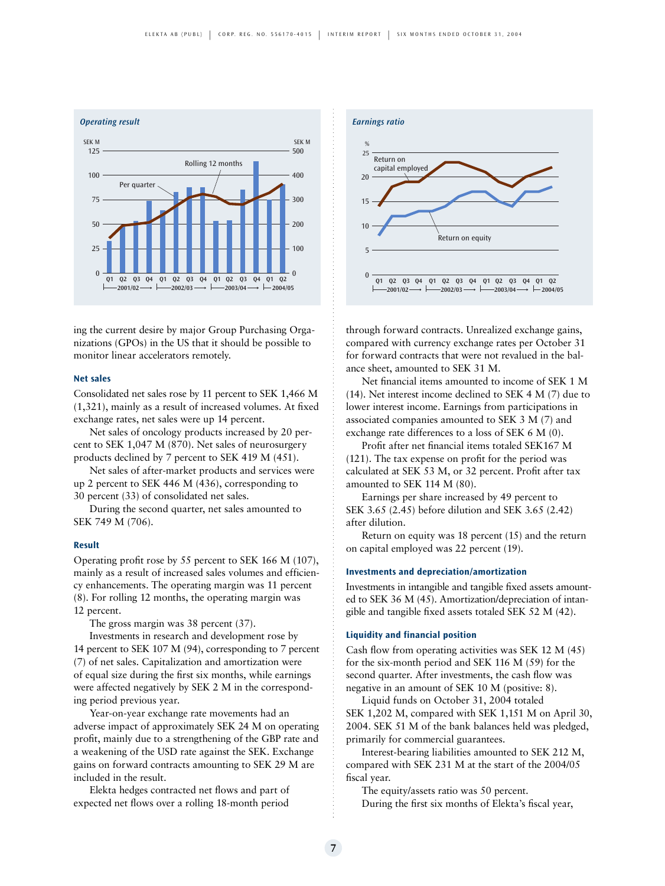

ing the current desire by major Group Purchasing Organizations (GPOs) in the US that it should be possible to monitor linear accelerators remotely.

#### **Net sales**

Consolidated net sales rose by 11 percent to SEK 1,466 M (1,321), mainly as a result of increased volumes. At fixed exchange rates, net sales were up 14 percent.

Net sales of oncology products increased by 20 percent to SEK 1,047 M (870). Net sales of neurosurgery products declined by 7 percent to SEK 419 M (451).

Net sales of after-market products and services were up 2 percent to SEK 446 M (436), corresponding to 30 percent (33) of consolidated net sales.

During the second quarter, net sales amounted to SEK 749 M (706).

#### **Result**

Operating profit rose by 55 percent to SEK 166 M (107), mainly as a result of increased sales volumes and efficiency enhancements. The operating margin was 11 percent (8). For rolling 12 months, the operating margin was 12 percent.

The gross margin was 38 percent (37).

Investments in research and development rose by 14 percent to SEK 107 M (94), corresponding to 7 percent (7) of net sales. Capitalization and amortization were of equal size during the first six months, while earnings were affected negatively by SEK 2 M in the corresponding period previous year.

Year-on-year exchange rate movements had an adverse impact of approximately SEK 24 M on operating profit, mainly due to a strengthening of the GBP rate and a weakening of the USD rate against the SEK. Exchange gains on forward contracts amounting to SEK 29 M are included in the result.

Elekta hedges contracted net flows and part of expected net flows over a rolling 18-month period



through forward contracts. Unrealized exchange gains, compared with currency exchange rates per October 31 for forward contracts that were not revalued in the balance sheet, amounted to SEK 31 M.

Net financial items amounted to income of SEK 1 M (14). Net interest income declined to SEK 4 M (7) due to lower interest income. Earnings from participations in associated companies amounted to SEK 3 M (7) and exchange rate differences to a loss of SEK 6 M (0).

Profit after net financial items totaled SEK167 M (121). The tax expense on profit for the period was calculated at SEK 53 M, or 32 percent. Profit after tax amounted to SEK 114 M (80).

Earnings per share increased by 49 percent to SEK 3.65 (2.45) before dilution and SEK 3.65 (2.42) after dilution.

Return on equity was 18 percent (15) and the return on capital employed was 22 percent (19).

#### **Investments and depreciation/amortization**

Investments in intangible and tangible fixed assets amounted to SEK 36 M (45). Amortization/depreciation of intangible and tangible fixed assets totaled SEK 52 M (42).

#### **Liquidity and financial position**

Cash flow from operating activities was SEK 12 M (45) for the six-month period and SEK 116 M (59) for the second quarter. After investments, the cash flow was negative in an amount of SEK 10 M (positive: 8).

Liquid funds on October 31, 2004 totaled SEK 1,202 M, compared with SEK 1,151 M on April 30, 2004. SEK 51 M of the bank balances held was pledged, primarily for commercial guarantees.

Interest-bearing liabilities amounted to SEK 212 M, compared with SEK 231 M at the start of the 2004/05 fiscal year.

The equity/assets ratio was 50 percent. During the first six months of Elekta's fiscal year,